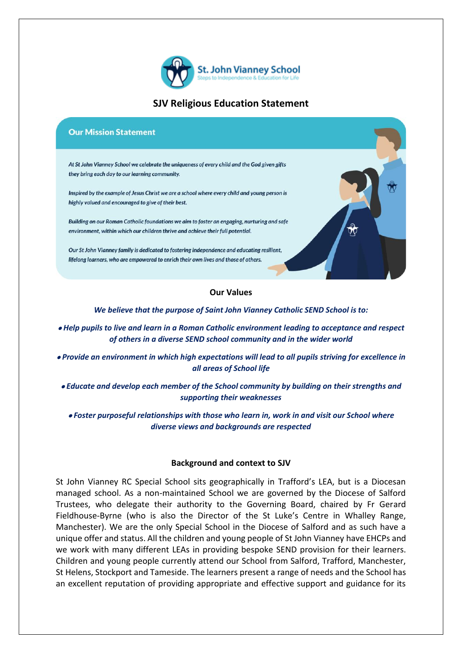

## **SJV Religious Education Statement**

#### **Our Mission Statement**

At St John Vianney School we celebrate the uniqueness of every child and the God given gifts they bring each day to our learning community.

Inspired by the example of Jesus Christ we are a school where every child and young person is highly valued and encouraged to give of their best.

Building on our Roman Catholic foundations we aim to foster an engaging, nurturing and safe environment, within which our children thrive and achieve their full potential.

Our St John Vianney family is dedicated to fostering independence and educating resilient, lifelong learners, who are empowered to enrich their own lives and those of others.

### **Our Values**

*We believe that the purpose of Saint John Vianney Catholic SEND School is to:*

- *Help pupils to live and learn in a Roman Catholic environment leading to acceptance and respect of others in a diverse SEND school community and in the wider world*
- *Provide an environment in which high expectations will lead to all pupils striving for excellence in all areas of School life*
- *Educate and develop each member of the School community by building on their strengths and supporting their weaknesses*

• *Foster purposeful relationships with those who learn in, work in and visit our School where diverse views and backgrounds are respected*

#### **Background and context to SJV**

St John Vianney RC Special School sits geographically in Trafford's LEA, but is a Diocesan managed school. As a non-maintained School we are governed by the Diocese of Salford Trustees, who delegate their authority to the Governing Board, chaired by Fr Gerard Fieldhouse-Byrne (who is also the Director of the St Luke's Centre in Whalley Range, Manchester). We are the only Special School in the Diocese of Salford and as such have a unique offer and status. All the children and young people of St John Vianney have EHCPs and we work with many different LEAs in providing bespoke SEND provision for their learners. Children and young people currently attend our School from Salford, Trafford, Manchester, St Helens, Stockport and Tameside. The learners present a range of needs and the School has an excellent reputation of providing appropriate and effective support and guidance for its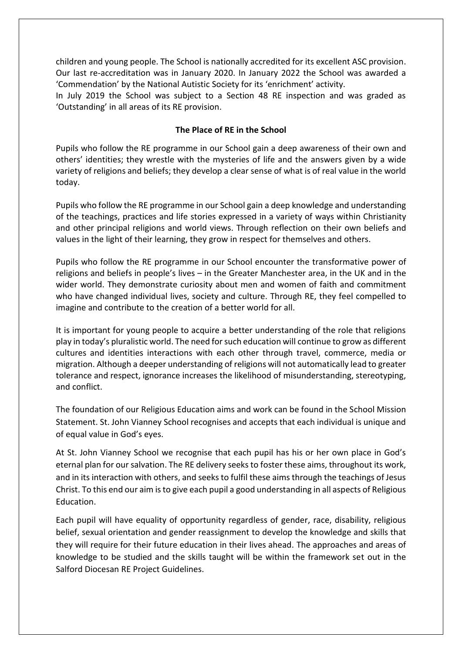children and young people. The School is nationally accredited for its excellent ASC provision. Our last re-accreditation was in January 2020. In January 2022 the School was awarded a 'Commendation' by the National Autistic Society for its 'enrichment' activity.

In July 2019 the School was subject to a Section 48 RE inspection and was graded as 'Outstanding' in all areas of its RE provision.

### **The Place of RE in the School**

Pupils who follow the RE programme in our School gain a deep awareness of their own and others' identities; they wrestle with the mysteries of life and the answers given by a wide variety of religions and beliefs; they develop a clear sense of what is of real value in the world today.

Pupils who follow the RE programme in our School gain a deep knowledge and understanding of the teachings, practices and life stories expressed in a variety of ways within Christianity and other principal religions and world views. Through reflection on their own beliefs and values in the light of their learning, they grow in respect for themselves and others.

Pupils who follow the RE programme in our School encounter the transformative power of religions and beliefs in people's lives – in the Greater Manchester area, in the UK and in the wider world. They demonstrate curiosity about men and women of faith and commitment who have changed individual lives, society and culture. Through RE, they feel compelled to imagine and contribute to the creation of a better world for all.

It is important for young people to acquire a better understanding of the role that religions play in today's pluralistic world. The need for such education will continue to grow as different cultures and identities interactions with each other through travel, commerce, media or migration. Although a deeper understanding of religions will not automatically lead to greater tolerance and respect, ignorance increases the likelihood of misunderstanding, stereotyping, and conflict.

The foundation of our Religious Education aims and work can be found in the School Mission Statement. St. John Vianney School recognises and accepts that each individual is unique and of equal value in God's eyes.

At St. John Vianney School we recognise that each pupil has his or her own place in God's eternal plan for our salvation. The RE delivery seeks to foster these aims, throughout its work, and in its interaction with others, and seeks to fulfil these aims through the teachings of Jesus Christ. To this end our aim is to give each pupil a good understanding in all aspects of Religious Education.

Each pupil will have equality of opportunity regardless of gender, race, disability, religious belief, sexual orientation and gender reassignment to develop the knowledge and skills that they will require for their future education in their lives ahead. The approaches and areas of knowledge to be studied and the skills taught will be within the framework set out in the Salford Diocesan RE Project Guidelines.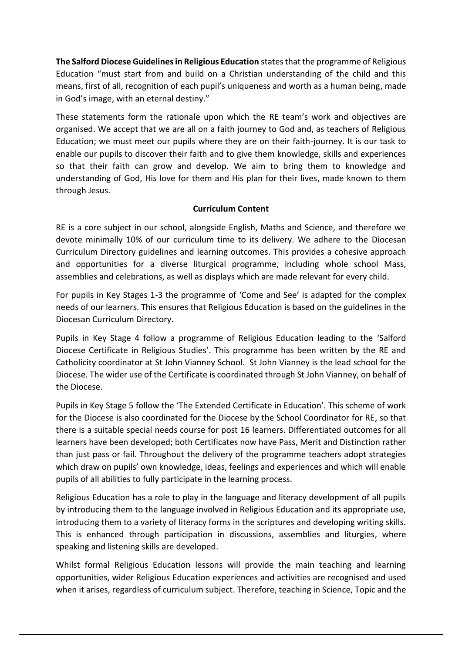**The Salford Diocese Guidelines in Religious Education** states that the programme of Religious Education "must start from and build on a Christian understanding of the child and this means, first of all, recognition of each pupil's uniqueness and worth as a human being, made in God's image, with an eternal destiny."

These statements form the rationale upon which the RE team's work and objectives are organised. We accept that we are all on a faith journey to God and, as teachers of Religious Education; we must meet our pupils where they are on their faith-journey. It is our task to enable our pupils to discover their faith and to give them knowledge, skills and experiences so that their faith can grow and develop. We aim to bring them to knowledge and understanding of God, His love for them and His plan for their lives, made known to them through Jesus.

## **Curriculum Content**

RE is a core subject in our school, alongside English, Maths and Science, and therefore we devote minimally 10% of our curriculum time to its delivery. We adhere to the Diocesan Curriculum Directory guidelines and learning outcomes. This provides a cohesive approach and opportunities for a diverse liturgical programme, including whole school Mass, assemblies and celebrations, as well as displays which are made relevant for every child.

For pupils in Key Stages 1-3 the programme of 'Come and See' is adapted for the complex needs of our learners. This ensures that Religious Education is based on the guidelines in the Diocesan Curriculum Directory.

Pupils in Key Stage 4 follow a programme of Religious Education leading to the 'Salford Diocese Certificate in Religious Studies'. This programme has been written by the RE and Catholicity coordinator at St John Vianney School. St John Vianney is the lead school for the Diocese. The wider use of the Certificate is coordinated through St John Vianney, on behalf of the Diocese.

Pupils in Key Stage 5 follow the 'The Extended Certificate in Education'. This scheme of work for the Diocese is also coordinated for the Diocese by the School Coordinator for RE, so that there is a suitable special needs course for post 16 learners. Differentiated outcomes for all learners have been developed; both Certificates now have Pass, Merit and Distinction rather than just pass or fail. Throughout the delivery of the programme teachers adopt strategies which draw on pupils' own knowledge, ideas, feelings and experiences and which will enable pupils of all abilities to fully participate in the learning process.

Religious Education has a role to play in the language and literacy development of all pupils by introducing them to the language involved in Religious Education and its appropriate use, introducing them to a variety of literacy forms in the scriptures and developing writing skills. This is enhanced through participation in discussions, assemblies and liturgies, where speaking and listening skills are developed.

Whilst formal Religious Education lessons will provide the main teaching and learning opportunities, wider Religious Education experiences and activities are recognised and used when it arises, regardless of curriculum subject. Therefore, teaching in Science, Topic and the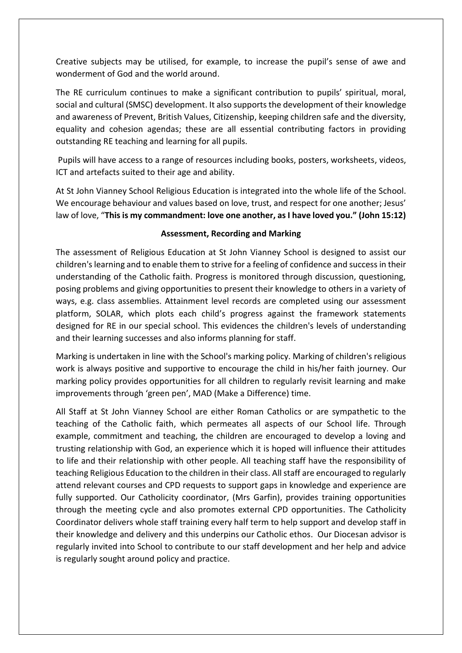Creative subjects may be utilised, for example, to increase the pupil's sense of awe and wonderment of God and the world around.

The RE curriculum continues to make a significant contribution to pupils' spiritual, moral, social and cultural (SMSC) development. It also supports the development of their knowledge and awareness of Prevent, British Values, Citizenship, keeping children safe and the diversity, equality and cohesion agendas; these are all essential contributing factors in providing outstanding RE teaching and learning for all pupils.

Pupils will have access to a range of resources including books, posters, worksheets, videos, ICT and artefacts suited to their age and ability.

At St John Vianney School Religious Education is integrated into the whole life of the School. We encourage behaviour and values based on love, trust, and respect for one another; Jesus' law of love, "**This is my commandment: love one another, as I have loved you." (John 15:12)**

## **Assessment, Recording and Marking**

The assessment of Religious Education at St John Vianney School is designed to assist our children's learning and to enable them to strive for a feeling of confidence and success in their understanding of the Catholic faith. Progress is monitored through discussion, questioning, posing problems and giving opportunities to present their knowledge to others in a variety of ways, e.g. class assemblies. Attainment level records are completed using our assessment platform, SOLAR, which plots each child's progress against the framework statements designed for RE in our special school. This evidences the children's levels of understanding and their learning successes and also informs planning for staff.

Marking is undertaken in line with the School's marking policy. Marking of children's religious work is always positive and supportive to encourage the child in his/her faith journey. Our marking policy provides opportunities for all children to regularly revisit learning and make improvements through 'green pen', MAD (Make a Difference) time.

All Staff at St John Vianney School are either Roman Catholics or are sympathetic to the teaching of the Catholic faith, which permeates all aspects of our School life. Through example, commitment and teaching, the children are encouraged to develop a loving and trusting relationship with God, an experience which it is hoped will influence their attitudes to life and their relationship with other people. All teaching staff have the responsibility of teaching Religious Education to the children in their class. All staff are encouraged to regularly attend relevant courses and CPD requests to support gaps in knowledge and experience are fully supported. Our Catholicity coordinator, (Mrs Garfin), provides training opportunities through the meeting cycle and also promotes external CPD opportunities. The Catholicity Coordinator delivers whole staff training every half term to help support and develop staff in their knowledge and delivery and this underpins our Catholic ethos. Our Diocesan advisor is regularly invited into School to contribute to our staff development and her help and advice is regularly sought around policy and practice.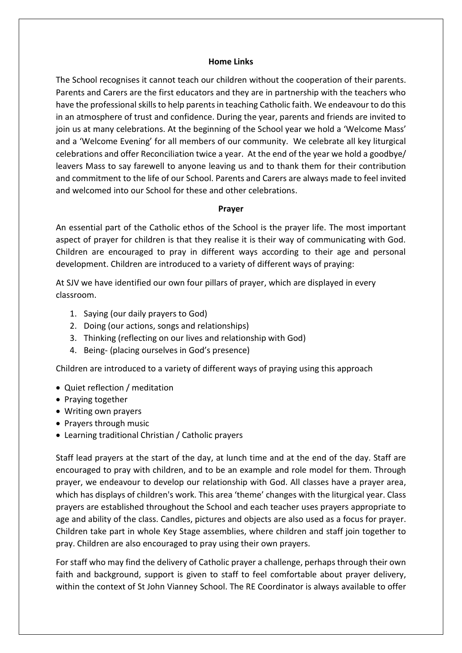### **Home Links**

The School recognises it cannot teach our children without the cooperation of their parents. Parents and Carers are the first educators and they are in partnership with the teachers who have the professional skills to help parents in teaching Catholic faith. We endeavour to do this in an atmosphere of trust and confidence. During the year, parents and friends are invited to join us at many celebrations. At the beginning of the School year we hold a 'Welcome Mass' and a 'Welcome Evening' for all members of our community. We celebrate all key liturgical celebrations and offer Reconciliation twice a year. At the end of the year we hold a goodbye/ leavers Mass to say farewell to anyone leaving us and to thank them for their contribution and commitment to the life of our School. Parents and Carers are always made to feel invited and welcomed into our School for these and other celebrations.

#### **Prayer**

An essential part of the Catholic ethos of the School is the prayer life. The most important aspect of prayer for children is that they realise it is their way of communicating with God. Children are encouraged to pray in different ways according to their age and personal development. Children are introduced to a variety of different ways of praying:

At SJV we have identified our own four pillars of prayer, which are displayed in every classroom.

- 1. Saying (our daily prayers to God)
- 2. Doing (our actions, songs and relationships)
- 3. Thinking (reflecting on our lives and relationship with God)
- 4. Being- (placing ourselves in God's presence)

Children are introduced to a variety of different ways of praying using this approach

- Quiet reflection / meditation
- Praying together
- Writing own prayers
- Prayers through music
- Learning traditional Christian / Catholic prayers

Staff lead prayers at the start of the day, at lunch time and at the end of the day. Staff are encouraged to pray with children, and to be an example and role model for them. Through prayer, we endeavour to develop our relationship with God. All classes have a prayer area, which has displays of children's work. This area 'theme' changes with the liturgical year. Class prayers are established throughout the School and each teacher uses prayers appropriate to age and ability of the class. Candles, pictures and objects are also used as a focus for prayer. Children take part in whole Key Stage assemblies, where children and staff join together to pray. Children are also encouraged to pray using their own prayers.

For staff who may find the delivery of Catholic prayer a challenge, perhaps through their own faith and background, support is given to staff to feel comfortable about prayer delivery, within the context of St John Vianney School. The RE Coordinator is always available to offer